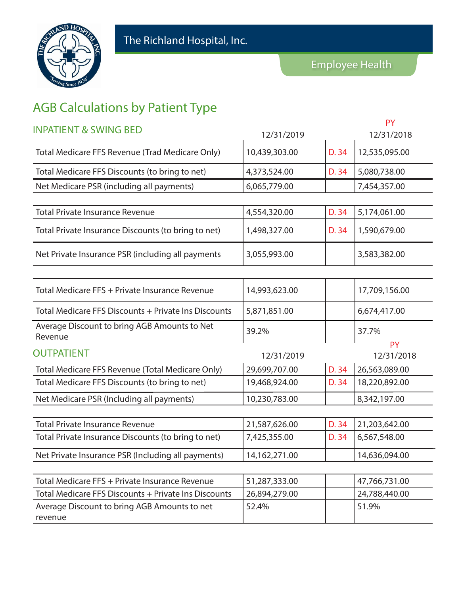

## AGB Calculations by Patient Type

| <b>INPATIENT &amp; SWING BED</b>                        | 12/31/2019    |       | <b>PY</b><br>12/31/2018 |
|---------------------------------------------------------|---------------|-------|-------------------------|
| Total Medicare FFS Revenue (Trad Medicare Only)         | 10,439,303.00 | D. 34 | 12,535,095.00           |
| Total Medicare FFS Discounts (to bring to net)          | 4,373,524.00  | D. 34 | 5,080,738.00            |
| Net Medicare PSR (including all payments)               | 6,065,779.00  |       | 7,454,357.00            |
|                                                         |               |       |                         |
| <b>Total Private Insurance Revenue</b>                  | 4,554,320.00  | D. 34 | 5,174,061.00            |
| Total Private Insurance Discounts (to bring to net)     | 1,498,327.00  | D. 34 | 1,590,679.00            |
| Net Private Insurance PSR (including all payments       | 3,055,993.00  |       | 3,583,382.00            |
|                                                         |               |       |                         |
| Total Medicare FFS + Private Insurance Revenue          | 14,993,623.00 |       | 17,709,156.00           |
| Total Medicare FFS Discounts + Private Ins Discounts    | 5,871,851.00  |       | 6,674,417.00            |
| Average Discount to bring AGB Amounts to Net<br>Revenue | 39.2%         |       | 37.7%                   |
| <b>OUTPATIENT</b>                                       | 12/31/2019    |       | <b>PY</b><br>12/31/2018 |
| Total Medicare FFS Revenue (Total Medicare Only)        | 29,699,707.00 | D. 34 | 26,563,089.00           |
| Total Medicare FFS Discounts (to bring to net)          | 19,468,924.00 | D. 34 | 18,220,892.00           |
| Net Medicare PSR (Including all payments)               | 10,230,783.00 |       | 8,342,197.00            |
|                                                         |               |       |                         |
| <b>Total Private Insurance Revenue</b>                  | 21,587,626.00 | D. 34 | 21,203,642.00           |
| Total Private Insurance Discounts (to bring to net)     | 7,425,355.00  | D. 34 | 6,567,548.00            |
| Net Private Insurance PSR (Including all payments)      | 14,162,271.00 |       | 14,636,094.00           |
|                                                         |               |       |                         |
| Total Medicare FFS + Private Insurance Revenue          | 51,287,333.00 |       | 47,766,731.00           |
| Total Medicare FFS Discounts + Private Ins Discounts    | 26,894,279.00 |       | 24,788,440.00           |
| Average Discount to bring AGB Amounts to net<br>revenue | 52.4%         |       | 51.9%                   |